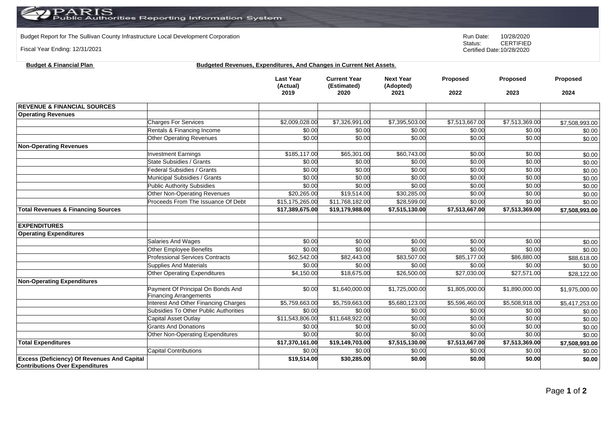Budget Report for The Sullivan County Infrastructure Local Development Corporation **Run Date:** 10/28/2020 Run Date: 10/28/2020<br>Status: CERTIFIED

Fiscal Year Ending: 12/31/2021

**Contributions Over Expenditures**

**CERTIFIED** Certified Date:10/28/2020

| <b>Budget &amp; Financial Plan</b>            | Budgeted Revenues, Expenditures, And Changes in Current Net Assets. |                                      |                                            |                                       |                  |                         |                  |
|-----------------------------------------------|---------------------------------------------------------------------|--------------------------------------|--------------------------------------------|---------------------------------------|------------------|-------------------------|------------------|
|                                               |                                                                     | <b>Last Year</b><br>(Actual)<br>2019 | <b>Current Year</b><br>(Estimated)<br>2020 | <b>Next Year</b><br>(Adopted)<br>2021 | Proposed<br>2022 | <b>Proposed</b><br>2023 | Proposed<br>2024 |
| <b>REVENUE &amp; FINANCIAL SOURCES</b>        |                                                                     |                                      |                                            |                                       |                  |                         |                  |
| <b>Operating Revenues</b>                     |                                                                     |                                      |                                            |                                       |                  |                         |                  |
|                                               | <b>Charges For Services</b>                                         | \$2,009,028.00                       | \$7,326,991.00                             | \$7,395,503.00                        | \$7,513,667.00   | \$7,513,369.00          | \$7,508,993.00   |
|                                               | Rentals & Financing Income                                          | \$0.00                               | \$0.00                                     | \$0.00                                | \$0.00           | \$0.00                  | \$0.00           |
|                                               | <b>Other Operating Revenues</b>                                     | \$0.00                               | \$0.00                                     | \$0.00                                | \$0.00           | \$0.00                  | \$0.00           |
| <b>Non-Operating Revenues</b>                 |                                                                     |                                      |                                            |                                       |                  |                         |                  |
|                                               | <b>Investment Earnings</b>                                          | \$185,117.00                         | \$65,301.00                                | \$60,743.00                           | \$0.00           | \$0.00                  | \$0.00           |
|                                               | <b>State Subsidies / Grants</b>                                     | \$0.00                               | \$0.00                                     | \$0.00                                | \$0.00           | \$0.00                  | \$0.00           |
|                                               | <b>Federal Subsidies / Grants</b>                                   | \$0.00                               | \$0.00                                     | \$0.00                                | \$0.00           | \$0.00                  | \$0.00           |
|                                               | Municipal Subsidies / Grants                                        | \$0.00                               | \$0.00                                     | \$0.00                                | \$0.00           | \$0.00                  | \$0.00           |
|                                               | <b>Public Authority Subsidies</b>                                   | \$0.00                               | \$0.00                                     | \$0.00                                | \$0.00           | \$0.00                  | \$0.00           |
|                                               | Other Non-Operating Revenues                                        | \$20,265.00                          | \$19,514.00                                | \$30,285.00                           | \$0.00           | \$0.00                  | \$0.00           |
|                                               | Proceeds From The Issuance Of Debt                                  | \$15,175,265.00                      | \$11,768,182.00                            | \$28,599.00                           | \$0.00           | \$0.00                  | \$0.00           |
| <b>Total Revenues &amp; Financing Sources</b> |                                                                     | \$17,389,675.00                      | \$19,179,988.00                            | \$7,515,130.00                        | \$7,513,667.00   | \$7,513,369.00          | \$7,508,993.00   |
| <b>EXPENDITURES</b>                           |                                                                     |                                      |                                            |                                       |                  |                         |                  |
| <b>Operating Expenditures</b>                 |                                                                     |                                      |                                            |                                       |                  |                         |                  |
|                                               | Salaries And Wages                                                  | \$0.00                               | \$0.00                                     | \$0.00                                | \$0.00           | \$0.00                  | \$0.00           |
|                                               | Other Employee Benefits                                             | \$0.00                               | \$0.00                                     | \$0.00                                | \$0.00           | \$0.00                  | \$0.00           |
|                                               | <b>Professional Services Contracts</b>                              | \$62,542.00                          | \$82,443.00                                | \$83,507.00                           | \$85,177.00      | \$86,880.00             | \$88,618.00      |
|                                               | Supplies And Materials                                              | \$0.00                               | \$0.00                                     | \$0.00                                | \$0.00           | \$0.00                  | \$0.00           |
|                                               | Other Operating Expenditures                                        | \$4,150.00                           | \$18,675.00                                | \$26,500.00                           | \$27,030.00      | \$27,571.00             | \$28,122.00      |
| <b>Non-Operating Expenditures</b>             |                                                                     |                                      |                                            |                                       |                  |                         |                  |
|                                               | Payment Of Principal On Bonds And<br><b>Financing Arrangements</b>  | \$0.00                               | \$1,640,000.00                             | \$1,725,000.00                        | \$1,805,000.00   | \$1,890,000.00          | \$1,975,000.00   |
|                                               | <b>Interest And Other Financing Charges</b>                         | \$5,759,663.00                       | \$5,759,663.00                             | \$5,680,123.00                        | \$5,596,460.00   | \$5,508,918.00          | \$5,417,253.00   |
|                                               | Subsidies To Other Public Authorities                               | \$0.00                               | \$0.00                                     | \$0.00                                | \$0.00           | \$0.00                  | \$0.00           |
|                                               | Capital Asset Outlay                                                | \$11,543,806.00                      | \$11,648,922.00                            | \$0.00                                | \$0.00           | \$0.00                  | \$0.00           |
|                                               | <b>Grants And Donations</b>                                         | \$0.00                               | \$0.00                                     | \$0.00                                | \$0.00           | \$0.00                  | \$0.00           |
|                                               | Other Non-Operating Expenditures                                    | \$0.00                               | \$0.00                                     | \$0.00                                | \$0.00           | \$0.00                  | \$0.00           |
| <b>Total Expenditures</b>                     |                                                                     | \$17,370,161.00                      | \$19,149,703.00                            | \$7,515,130.00                        | \$7,513,667.00   | \$7,513,369.00          | \$7,508,993.00   |
|                                               | <b>Capital Contributions</b>                                        | \$0.00                               | \$0.00                                     | \$0.00                                | \$0.00           | \$0.00                  | \$0.00           |
| Excess (Deficiency) Of Revenues And Capital   |                                                                     | \$19,514.00                          | \$30,285.00                                | \$0.00                                | \$0.00           | \$0.00                  | \$0.00           |